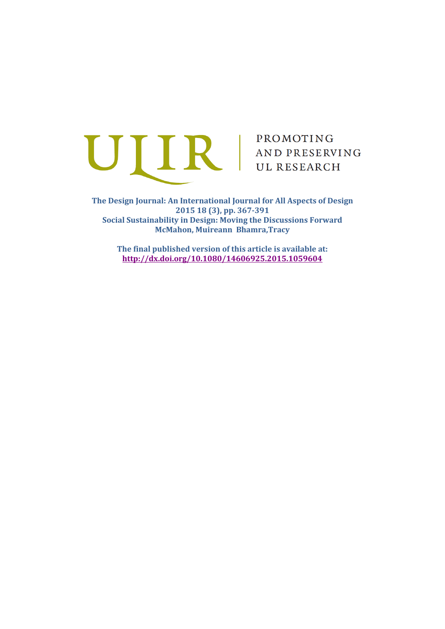

**The Design Journal: An International Journal for All Aspects of Design 2015 18 (3), pp. 367-391 Social Sustainability in Design: Moving the Discussions Forward McMahon, Muireann Bhamra,Tracy**

**The final published version of this article is available at: <http://dx.doi.org/10.1080/14606925.2015.1059604>**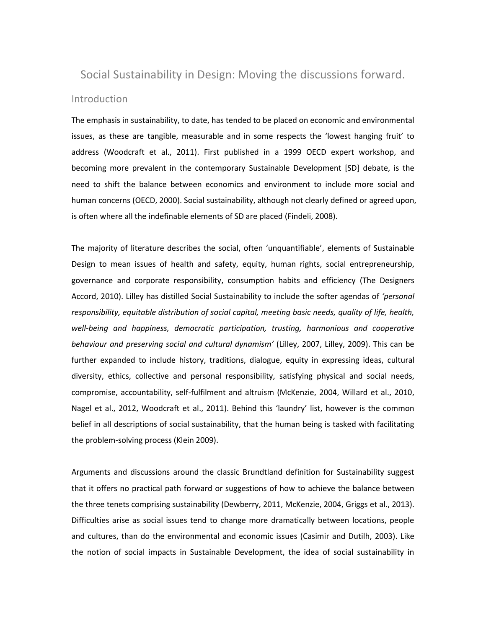# Social Sustainability in Design: Moving the discussions forward. Introduction

The emphasis in sustainability, to date, has tended to be placed on economic and environmental issues, as these are tangible, measurable and in some respects the 'lowest hanging fruit' to address [\(Woodcraft et al., 2011\)](#page-20-0). First published in a 1999 OECD expert workshop, and becoming more prevalent in the contemporary Sustainable Development [SD] debate, is the need to shift the balance between economics and environment to include more social and human concerns [\(OECD, 2000\)](#page-20-1). Social sustainability, although not clearly defined or agreed upon, is often where all the indefinable elements of SD are placed [\(Findeli, 2008\)](#page-19-0).

The majority of literature describes the social, often 'unquantifiable', elements of Sustainable Design to mean issues of health and safety, equity, human rights, social entrepreneurship, governance and corporate responsibility, consumption habits and efficiency [\(The Designers](#page-20-2)  [Accord, 2010\)](#page-20-2). Lilley has distilled Social Sustainability to include the softer agendas of *'personal responsibility, equitable distribution of social capital, meeting basic needs, quality of life, health, well-being and happiness, democratic participation, trusting, harmonious and cooperative behaviour and preserving social and cultural dynamism'* [\(Lilley, 2007,](#page-19-1) [Lilley, 2009\)](#page-19-2). This can be further expanded to include history, traditions, dialogue, equity in expressing ideas, cultural diversity, ethics, collective and personal responsibility, satisfying physical and social needs, compromise, accountability, self-fulfilment and altruism [\(McKenzie, 2004,](#page-19-3) [Willard et al., 2010,](#page-20-3) [Nagel et al., 2012,](#page-19-4) [Woodcraft et al., 2011\)](#page-20-0). Behind this 'laundry' list, however is the common belief in all descriptions of social sustainability, that the human being is tasked with facilitating the problem-solving process (Klein 2009).

Arguments and discussions around the classic Brundtland definition for Sustainability suggest that it offers no practical path forward or suggestions of how to achieve the balance between the three tenets comprising sustainability [\(Dewberry, 2011,](#page-19-5) [McKenzie, 2004,](#page-19-3) [Griggs et al., 2013\)](#page-19-6). Difficulties arise as social issues tend to change more dramatically between locations, people and cultures, than do the environmental and economic issues [\(Casimir and Dutilh, 2003\)](#page-18-0). Like the notion of social impacts in Sustainable Development, the idea of social sustainability in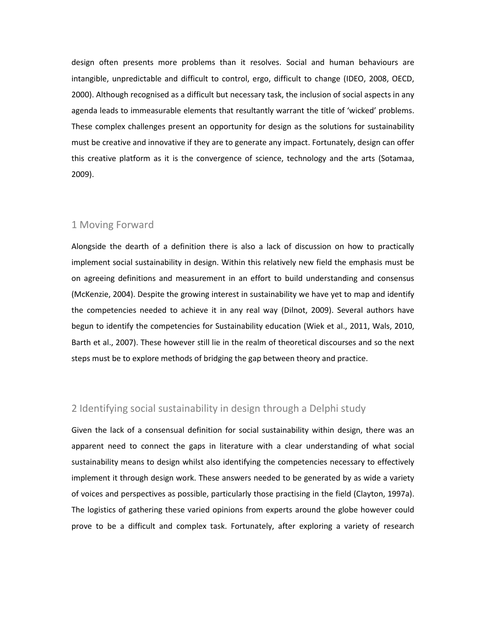design often presents more problems than it resolves. Social and human behaviours are intangible, unpredictable and difficult to control, ergo, difficult to change [\(IDEO, 2008,](#page-19-7) [OECD,](#page-20-1)  [2000\)](#page-20-1). Although recognised as a difficult but necessary task, the inclusion of social aspects in any agenda leads to immeasurable elements that resultantly warrant the title of 'wicked' problems. These complex challenges present an opportunity for design as the solutions for sustainability must be creative and innovative if they are to generate any impact. Fortunately, design can offer this creative platform as it is the convergence of science, technology and the arts [\(Sotamaa,](#page-20-4)  [2009\)](#page-20-4).

## 1 Moving Forward

Alongside the dearth of a definition there is also a lack of discussion on how to practically implement social sustainability in design. Within this relatively new field the emphasis must be on agreeing definitions and measurement in an effort to build understanding and consensus [\(McKenzie, 2004\)](#page-19-3). Despite the growing interest in sustainability we have yet to map and identify the competencies needed to achieve it in any real way [\(Dilnot, 2009\)](#page-19-8). Several authors have begun to identify the competencies for Sustainability education [\(Wiek et al., 2011,](#page-20-5) [Wals, 2010,](#page-20-6) [Barth et al., 2007\)](#page-18-1). These however still lie in the realm of theoretical discourses and so the next steps must be to explore methods of bridging the gap between theory and practice.

# 2 Identifying social sustainability in design through a Delphi study

Given the lack of a consensual definition for social sustainability within design, there was an apparent need to connect the gaps in literature with a clear understanding of what social sustainability means to design whilst also identifying the competencies necessary to effectively implement it through design work. These answers needed to be generated by as wide a variety of voices and perspectives as possible, particularly those practising in the field [\(Clayton, 1997a\)](#page-18-2). The logistics of gathering these varied opinions from experts around the globe however could prove to be a difficult and complex task. Fortunately, after exploring a variety of research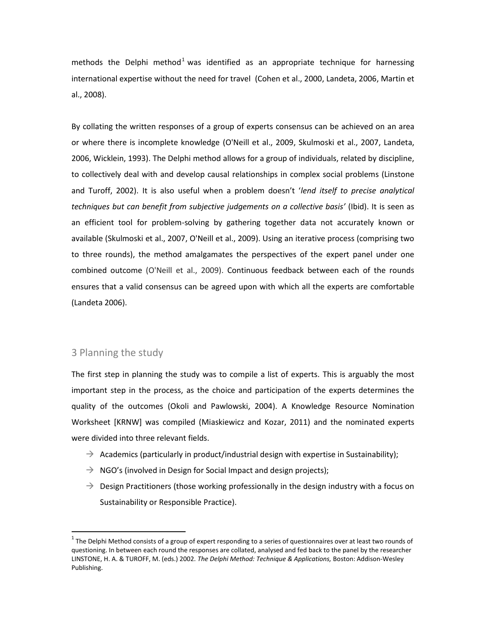methods the Delphi method<sup>1</sup> was identified as an appropriate technique for harnessing international expertise without the need for travel [\(Cohen et al., 2000,](#page-18-3) [Landeta, 2006,](#page-19-9) [Martin et](#page-19-10)  [al., 2008\)](#page-19-10).

By collating the written responses of a group of experts consensus can be achieved on an area or where there is incomplete knowledge [\(O'Neill et al., 2009,](#page-19-11) [Skulmoski et al., 2007,](#page-20-7) [Landeta,](#page-19-9)  [2006,](#page-19-9) [Wicklein, 1993\)](#page-20-8). The Delphi method allows for a group of individuals, related by discipline, to collectively deal with and develop causal relationships in complex social problems [\(Linstone](#page-19-12)  [and Turoff, 2002\)](#page-19-12). It is also useful when a problem doesn't '*lend itself to precise analytical techniques but can benefit from subjective judgements on a collective basis'* [\(Ibid\)](#page-19-12). It is seen as an efficient tool for problem-solving by gathering together data not accurately known or available [\(Skulmoski et al., 2007,](#page-20-7) [O'Neill et al., 2009\)](#page-19-11). Using an iterative process (comprising two to three rounds), the method amalgamates the perspectives of the expert panel under one combined outcome [\(O'Neill et al., 2009\)](#page-19-11). Continuous feedback between each of the rounds ensures that a valid consensus can be agreed upon with which all the experts are comfortable (Landeta 2006).

## 3 Planning the study

 $\overline{\phantom{a}}$ 

The first step in planning the study was to compile a list of experts. This is arguably the most important step in the process, as the choice and participation of the experts determines the quality of the outcomes [\(Okoli and Pawlowski, 2004\)](#page-20-9). A Knowledge Resource Nomination Worksheet [KRNW] was compiled [\(Miaskiewicz and Kozar, 2011\)](#page-19-13) and the nominated experts were divided into three relevant fields.

- $\rightarrow$  Academics (particularly in product/industrial design with expertise in Sustainability);
- $\rightarrow$  NGO's (involved in Design for Social Impact and design projects);
- $\rightarrow$  Design Practitioners (those working professionally in the design industry with a focus on Sustainability or Responsible Practice).

 $^1$  The Delphi Method consists of a group of expert responding to a series of questionnaires over at least two rounds of questioning. In between each round the responses are collated, analysed and fed back to the panel by the researcher LINSTONE, H. A. & TUROFF, M. (eds.) 2002. *The Delphi Method: Technique & Applications,* Boston: Addison-Wesley Publishing.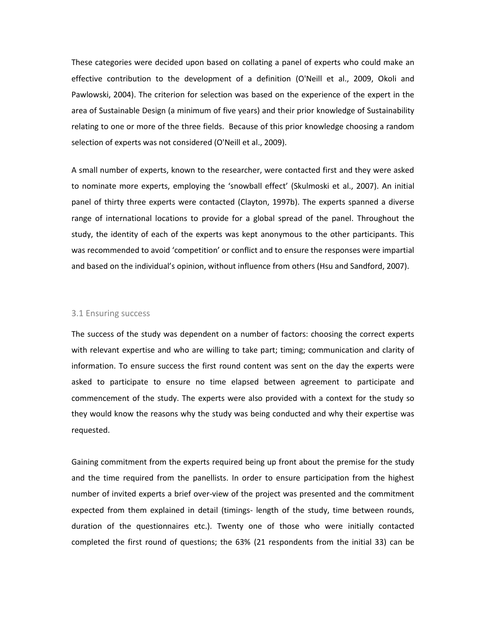These categories were decided upon based on collating a panel of experts who could make an effective contribution to the development of a definition [\(O'Neill et al., 2009,](#page-19-11) [Okoli and](#page-20-9)  [Pawlowski, 2004\)](#page-20-9). The criterion for selection was based on the experience of the expert in the area of Sustainable Design (a minimum of five years) and their prior knowledge of Sustainability relating to one or more of the three fields. Because of this prior knowledge choosing a random selection of experts was not considered [\(O'Neill et al., 2009\)](#page-19-11).

A small number of experts, known to the researcher, were contacted first and they were asked to nominate more experts, employing the 'snowball effect' [\(Skulmoski et al., 2007\)](#page-20-7). An initial panel of thirty three experts were contacted [\(Clayton, 1997b\)](#page-18-4). The experts spanned a diverse range of international locations to provide for a global spread of the panel. Throughout the study, the identity of each of the experts was kept anonymous to the other participants. This was recommended to avoid 'competition' or conflict and to ensure the responses were impartial and based on the individual's opinion, without influence from others [\(Hsu and Sandford, 2007\)](#page-19-14).

#### 3.1 Ensuring success

The success of the study was dependent on a number of factors: choosing the correct experts with relevant expertise and who are willing to take part; timing; communication and clarity of information. To ensure success the first round content was sent on the day the experts were asked to participate to ensure no time elapsed between agreement to participate and commencement of the study. The experts were also provided with a context for the study so they would know the reasons why the study was being conducted and why their expertise was requested.

Gaining commitment from the experts required being up front about the premise for the study and the time required from the panellists. In order to ensure participation from the highest number of invited experts a brief over-view of the project was presented and the commitment expected from them explained in detail (timings- length of the study, time between rounds, duration of the questionnaires etc.). Twenty one of those who were initially contacted completed the first round of questions; the 63% (21 respondents from the initial 33) can be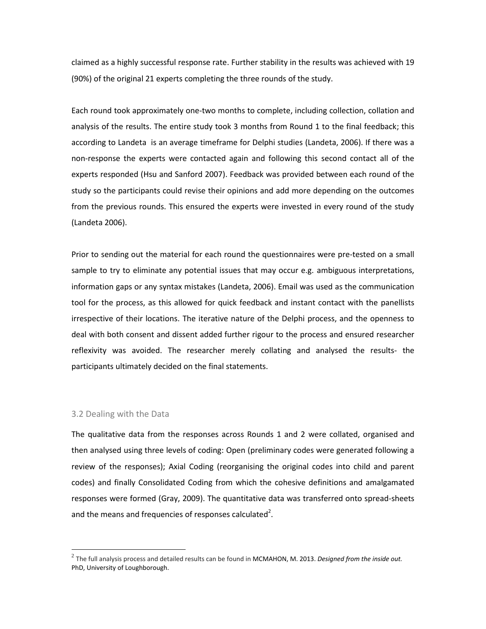claimed as a highly successful response rate. Further stability in the results was achieved with 19 (90%) of the original 21 experts completing the three rounds of the study.

Each round took approximately one-two months to complete, including collection, collation and analysis of the results. The entire study took 3 months from Round 1 to the final feedback; this according to Landeta is an average timeframe for Delphi studies [\(Landeta, 2006\)](#page-19-9). If there was a non-response the experts were contacted again and following this second contact all of the experts responded (Hsu and Sanford 2007). Feedback was provided between each round of the study so the participants could revise their opinions and add more depending on the outcomes from the previous rounds. This ensured the experts were invested in every round of the study (Landeta 2006).

Prior to sending out the material for each round the questionnaires were pre-tested on a small sample to try to eliminate any potential issues that may occur e.g. ambiguous interpretations, information gaps or any syntax mistakes [\(Landeta, 2006\)](#page-19-9). Email was used as the communication tool for the process, as this allowed for quick feedback and instant contact with the panellists irrespective of their locations. The iterative nature of the Delphi process, and the openness to deal with both consent and dissent added further rigour to the process and ensured researcher reflexivity was avoided. The researcher merely collating and analysed the results- the participants ultimately decided on the final statements.

#### 3.2 Dealing with the Data

 $\overline{\phantom{a}}$ 

The qualitative data from the responses across Rounds 1 and 2 were collated, organised and then analysed using three levels of coding: Open (preliminary codes were generated following a review of the responses); Axial Coding (reorganising the original codes into child and parent codes) and finally Consolidated Coding from which the cohesive definitions and amalgamated responses were formed [\(Gray, 2009\)](#page-19-15). The quantitative data was transferred onto spread-sheets and the means and frequencies of responses calculated<sup>2</sup>.

<sup>2</sup> The full analysis process and detailed results can be found in MCMAHON, M. 2013. *Designed from the inside out.* PhD, University of Loughborough.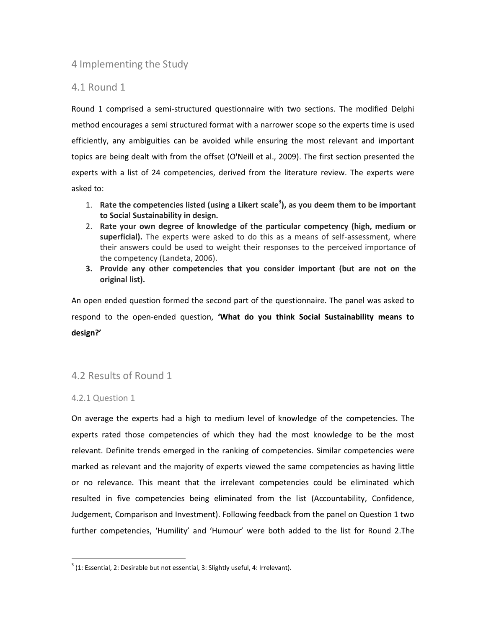# 4 Implementing the Study

# 4.1 Round 1

Round 1 comprised a semi-structured questionnaire with two sections. The modified Delphi method encourages a semi structured format with a narrower scope so the experts time is used efficiently, any ambiguities can be avoided while ensuring the most relevant and important topics are being dealt with from the offset [\(O'Neill et al., 2009\)](#page-19-11). The first section presented the experts with a list of 24 competencies, derived from the literature review. The experts were asked to:

- 1. **Rate the competencies listed (using a Likert scale<sup>3</sup> ), as you deem them to be important to Social Sustainability in design.**
- 2. **Rate your own degree of knowledge of the particular competency (high, medium or superficial).** The experts were asked to do this as a means of self-assessment, where their answers could be used to weight their responses to the perceived importance of the competency [\(Landeta, 2006\)](#page-19-9).
- **3. Provide any other competencies that you consider important (but are not on the original list).**

An open ended question formed the second part of the questionnaire. The panel was asked to respond to the open-ended question, **'What do you think Social Sustainability means to design?'**

# 4.2 Results of Round 1

### 4.2.1 Question 1

l

On average the experts had a high to medium level of knowledge of the competencies. The experts rated those competencies of which they had the most knowledge to be the most relevant. Definite trends emerged in the ranking of competencies. Similar competencies were marked as relevant and the majority of experts viewed the same competencies as having little or no relevance. This meant that the irrelevant competencies could be eliminated which resulted in five competencies being eliminated from the list (Accountability, Confidence, Judgement, Comparison and Investment). Following feedback from the panel on Question 1 two further competencies, 'Humility' and 'Humour' were both added to the list for Round 2.The

 $^3$  (1: Essential, 2: Desirable but not essential, 3: Slightly useful, 4: Irrelevant).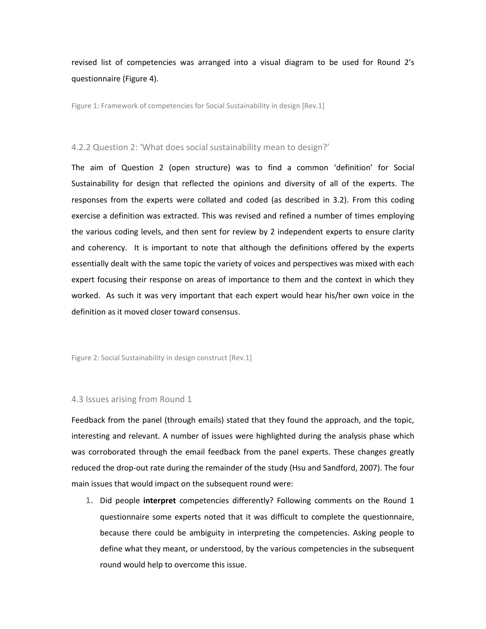# revised list of competencies was arranged into a visual diagram to be used for Round 2's questionnaire (Figure 4).

Figure 1: Framework of competencies for Social Sustainability in design [Rev.1]

#### 4.2.2 Question 2: 'What does social sustainability mean to design?'

The aim of Question 2 (open structure) was to find a common 'definition' for Social Sustainability for design that reflected the opinions and diversity of all of the experts. The responses from the experts were collated and coded (as described in 3.2). From this coding exercise a definition was extracted. This was revised and refined a number of times employing the various coding levels, and then sent for review by 2 independent experts to ensure clarity and coherency. It is important to note that although the definitions offered by the experts essentially dealt with the same topic the variety of voices and perspectives was mixed with each expert focusing their response on areas of importance to them and the context in which they worked. As such it was very important that each expert would hear his/her own voice in the definition as it moved closer toward consensus.

Figure 2: Social Sustainability in design construct [Rev.1]

#### 4.3 Issues arising from Round 1

Feedback from the panel (through emails) stated that they found the approach, and the topic, interesting and relevant. A number of issues were highlighted during the analysis phase which was corroborated through the email feedback from the panel experts. These changes greatly reduced the drop-out rate during the remainder of the study [\(Hsu and Sandford, 2007\)](#page-19-14). The four main issues that would impact on the subsequent round were:

**1.** Did people **interpret** competencies differently? Following comments on the Round 1 questionnaire some experts noted that it was difficult to complete the questionnaire, because there could be ambiguity in interpreting the competencies. Asking people to define what they meant, or understood, by the various competencies in the subsequent round would help to overcome this issue.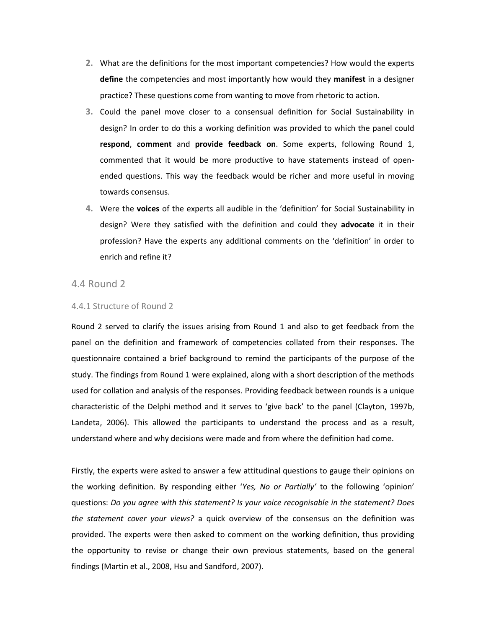- **2.** What are the definitions for the most important competencies? How would the experts **define** the competencies and most importantly how would they **manifest** in a designer practice? These questions come from wanting to move from rhetoric to action.
- **3.** Could the panel move closer to a consensual definition for Social Sustainability in design? In order to do this a working definition was provided to which the panel could **respond**, **comment** and **provide feedback on**. Some experts, following Round 1, commented that it would be more productive to have statements instead of openended questions. This way the feedback would be richer and more useful in moving towards consensus.
- **4.** Were the **voices** of the experts all audible in the 'definition' for Social Sustainability in design? Were they satisfied with the definition and could they **advocate** it in their profession? Have the experts any additional comments on the 'definition' in order to enrich and refine it?

# 4.4 Round 2

#### 4.4.1 Structure of Round 2

Round 2 served to clarify the issues arising from Round 1 and also to get feedback from the panel on the definition and framework of competencies collated from their responses. The questionnaire contained a brief background to remind the participants of the purpose of the study. The findings from Round 1 were explained, along with a short description of the methods used for collation and analysis of the responses. Providing feedback between rounds is a unique characteristic of the Delphi method and it serves to 'give back' to the panel [\(Clayton, 1997b,](#page-18-4) [Landeta, 2006\)](#page-19-9). This allowed the participants to understand the process and as a result, understand where and why decisions were made and from where the definition had come.

Firstly, the experts were asked to answer a few attitudinal questions to gauge their opinions on the working definition. By responding either '*Yes, No or Partially'* to the following 'opinion' questions: *Do you agree with this statement? Is your voice recognisable in the statement? Does the statement cover your views?* a quick overview of the consensus on the definition was provided. The experts were then asked to comment on the working definition, thus providing the opportunity to revise or change their own previous statements, based on the general findings [\(Martin et al., 2008,](#page-19-10) [Hsu and Sandford, 2007\)](#page-19-14).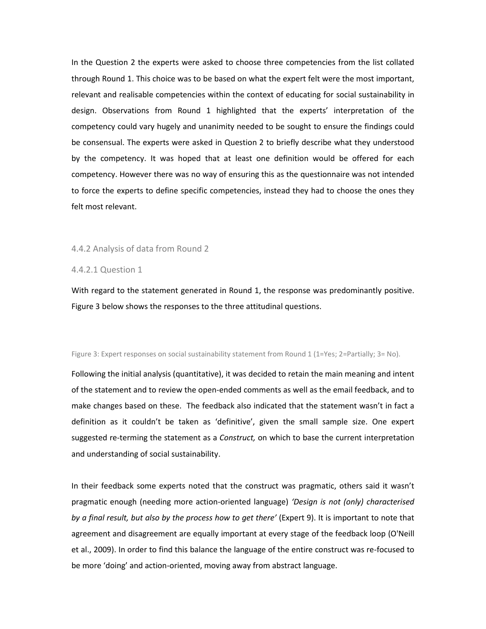In the Question 2 the experts were asked to choose three competencies from the list collated through Round 1. This choice was to be based on what the expert felt were the most important, relevant and realisable competencies within the context of educating for social sustainability in design. Observations from Round 1 highlighted that the experts' interpretation of the competency could vary hugely and unanimity needed to be sought to ensure the findings could be consensual. The experts were asked in Question 2 to briefly describe what they understood by the competency. It was hoped that at least one definition would be offered for each competency. However there was no way of ensuring this as the questionnaire was not intended to force the experts to define specific competencies, instead they had to choose the ones they felt most relevant.

#### 4.4.2 Analysis of data from Round 2

4.4.2.1 Question 1

With regard to the statement generated in Round 1, the response was predominantly positive. Figure 3 below shows the responses to the three attitudinal questions.

#### Figure 3: Expert responses on social sustainability statement from Round 1 (1=Yes; 2=Partially; 3= No).

Following the initial analysis (quantitative), it was decided to retain the main meaning and intent of the statement and to review the open-ended comments as well as the email feedback, and to make changes based on these. The feedback also indicated that the statement wasn't in fact a definition as it couldn't be taken as 'definitive', given the small sample size. One expert suggested re-terming the statement as a *Construct,* on which to base the current interpretation and understanding of social sustainability.

In their feedback some experts noted that the construct was pragmatic, others said it wasn't pragmatic enough (needing more action-oriented language) *'Design is not (only) characterised by a final result, but also by the process how to get there'* (Expert 9). It is important to note that agreement and disagreement are equally important at every stage of the feedback loop [\(O'Neill](#page-19-11)  [et al., 2009\)](#page-19-11). In order to find this balance the language of the entire construct was re-focused to be more 'doing' and action-oriented, moving away from abstract language.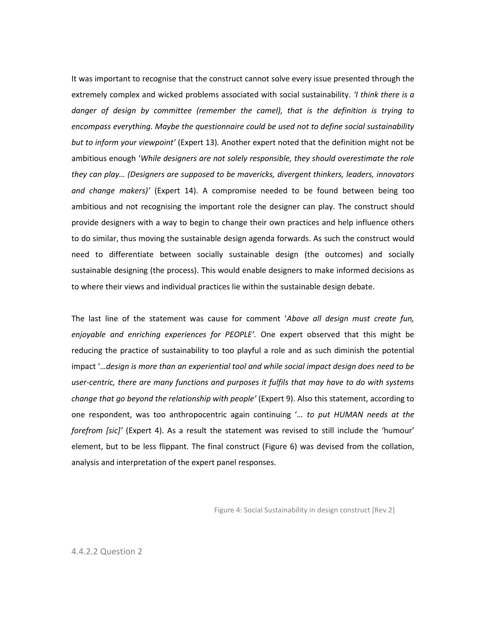It was important to recognise that the construct cannot solve every issue presented through the extremely complex and wicked problems associated with social sustainability. *'I think there is a danger of design by committee (remember the camel), that is the definition is trying to encompass everything. Maybe the questionnaire could be used not to define social sustainability but to inform your viewpoint'* (Expert 13)*.* Another expert noted that the definition might not be ambitious enough '*While designers are not solely responsible, they should overestimate the role they can play… (Designers are supposed to be mavericks, divergent thinkers, leaders, innovators and change makers)'* (Expert 14). A compromise needed to be found between being too ambitious and not recognising the important role the designer can play. The construct should provide designers with a way to begin to change their own practices and help influence others to do similar, thus moving the sustainable design agenda forwards. As such the construct would need to differentiate between socially sustainable design (the outcomes) and socially sustainable designing (the process). This would enable designers to make informed decisions as to where their views and individual practices lie within the sustainable design debate.

The last line of the statement was cause for comment '*Above all design must create fun, enjoyable and enriching experiences for PEOPLE'.* One expert observed that this might be reducing the practice of sustainability to too playful a role and as such diminish the potential impact '…*design is more than an experiential tool and while social impact design does need to be user-centric, there are many functions and purposes it fulfils that may have to do with systems change that go beyond the relationship with people'* (Expert 9). Also this statement, according to one respondent, was too anthropocentric again continuing '*… to put HUMAN needs at the forefrom [sic]'* (Expert 4). As a result the statement was revised to still include the 'humour' element, but to be less flippant. The final construct (Figure 6) was devised from the collation, analysis and interpretation of the expert panel responses.

Figure 4: Social Sustainability in design construct [Rev.2]

4.4.2.2 Question 2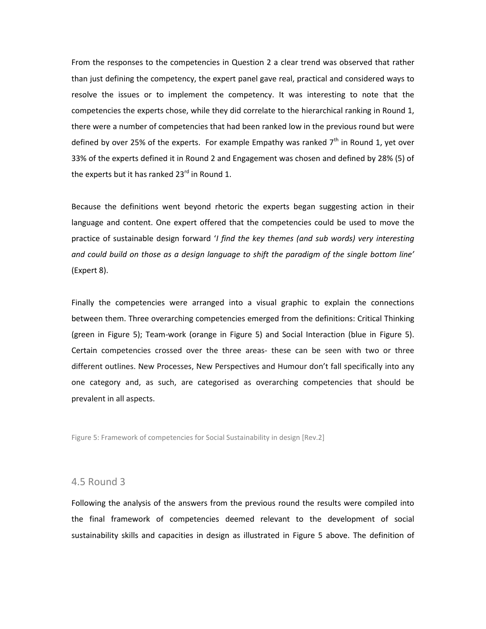From the responses to the competencies in Question 2 a clear trend was observed that rather than just defining the competency, the expert panel gave real, practical and considered ways to resolve the issues or to implement the competency. It was interesting to note that the competencies the experts chose, while they did correlate to the hierarchical ranking in Round 1, there were a number of competencies that had been ranked low in the previous round but were defined by over 25% of the experts. For example Empathy was ranked  $7<sup>th</sup>$  in Round 1, vet over 33% of the experts defined it in Round 2 and Engagement was chosen and defined by 28% (5) of the experts but it has ranked  $23^{\text{rd}}$  in Round 1.

Because the definitions went beyond rhetoric the experts began suggesting action in their language and content. One expert offered that the competencies could be used to move the practice of sustainable design forward '*I find the key themes (and sub words) very interesting and could build on those as a design language to shift the paradigm of the single bottom line'* (Expert 8).

Finally the competencies were arranged into a visual graphic to explain the connections between them. Three overarching competencies emerged from the definitions: Critical Thinking (green in [Figure 5\)](#page-11-0); Team-work (orange in [Figure 5\)](#page-11-0) and Social Interaction (blue in [Figure 5\)](#page-11-0). Certain competencies crossed over the three areas- these can be seen with two or three different outlines. New Processes, New Perspectives and Humour don't fall specifically into any one category and, as such, are categorised as overarching competencies that should be prevalent in all aspects.

<span id="page-11-0"></span>Figure 5: Framework of competencies for Social Sustainability in design [Rev.2]

#### 4.5 Round 3

Following the analysis of the answers from the previous round the results were compiled into the final framework of competencies deemed relevant to the development of social sustainability skills and capacities in design as illustrated in [Figure 5](#page-11-0) above. The definition of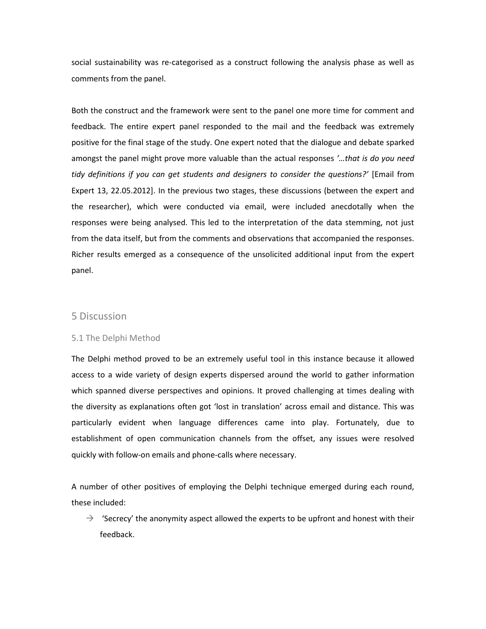social sustainability was re-categorised as a construct following the analysis phase as well as comments from the panel.

Both the construct and the framework were sent to the panel one more time for comment and feedback. The entire expert panel responded to the mail and the feedback was extremely positive for the final stage of the study. One expert noted that the dialogue and debate sparked amongst the panel might prove more valuable than the actual responses *'…that is do you need tidy definitions if you can get students and designers to consider the questions?'* [Email from Expert 13, 22.05.2012]. In the previous two stages, these discussions (between the expert and the researcher), which were conducted via email, were included anecdotally when the responses were being analysed. This led to the interpretation of the data stemming, not just from the data itself, but from the comments and observations that accompanied the responses. Richer results emerged as a consequence of the unsolicited additional input from the expert panel.

# 5 Discussion

#### 5.1 The Delphi Method

The Delphi method proved to be an extremely useful tool in this instance because it allowed access to a wide variety of design experts dispersed around the world to gather information which spanned diverse perspectives and opinions. It proved challenging at times dealing with the diversity as explanations often got 'lost in translation' across email and distance. This was particularly evident when language differences came into play. Fortunately, due to establishment of open communication channels from the offset, any issues were resolved quickly with follow-on emails and phone-calls where necessary.

A number of other positives of employing the Delphi technique emerged during each round, these included:

 $\rightarrow$  'Secrecy' the anonymity aspect allowed the experts to be upfront and honest with their feedback.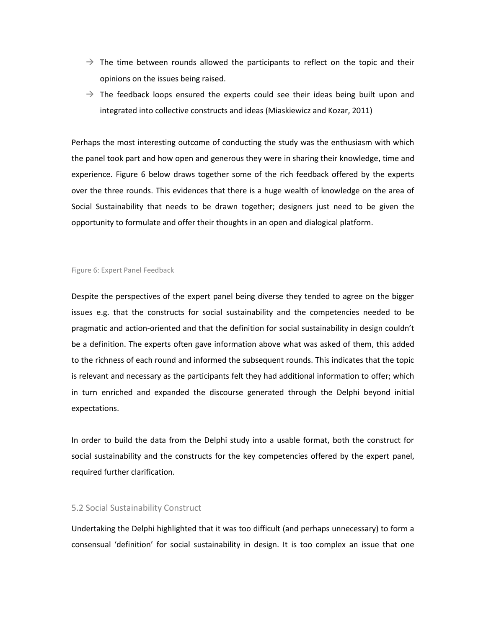- $\rightarrow$  The time between rounds allowed the participants to reflect on the topic and their opinions on the issues being raised.
- $\rightarrow$  The feedback loops ensured the experts could see their ideas being built upon and integrated into collective constructs and ideas [\(Miaskiewicz and Kozar, 2011\)](#page-19-13)

Perhaps the most interesting outcome of conducting the study was the enthusiasm with which the panel took part and how open and generous they were in sharing their knowledge, time and experience. Figure 6 below draws together some of the rich feedback offered by the experts over the three rounds. This evidences that there is a huge wealth of knowledge on the area of Social Sustainability that needs to be drawn together; designers just need to be given the opportunity to formulate and offer their thoughts in an open and dialogical platform.

#### Figure 6: Expert Panel Feedback

Despite the perspectives of the expert panel being diverse they tended to agree on the bigger issues e.g. that the constructs for social sustainability and the competencies needed to be pragmatic and action-oriented and that the definition for social sustainability in design couldn't be a definition. The experts often gave information above what was asked of them, this added to the richness of each round and informed the subsequent rounds. This indicates that the topic is relevant and necessary as the participants felt they had additional information to offer; which in turn enriched and expanded the discourse generated through the Delphi beyond initial expectations.

In order to build the data from the Delphi study into a usable format, both the construct for social sustainability and the constructs for the key competencies offered by the expert panel, required further clarification.

#### 5.2 Social Sustainability Construct

Undertaking the Delphi highlighted that it was too difficult (and perhaps unnecessary) to form a consensual 'definition' for social sustainability in design. It is too complex an issue that one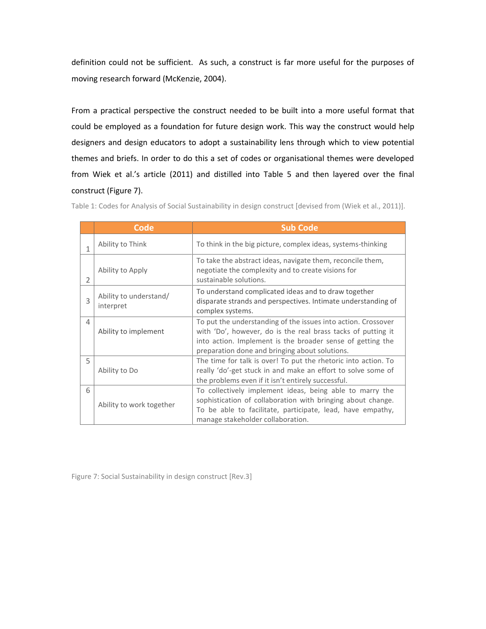definition could not be sufficient. As such, a construct is far more useful for the purposes of moving research forward [\(McKenzie, 2004\)](#page-19-3).

From a practical perspective the construct needed to be built into a more useful format that could be employed as a foundation for future design work. This way the construct would help designers and design educators to adopt a sustainability lens through which to view potential themes and briefs. In order to do this a set of codes or organisational themes were developed from Wiek et al.'s article [\(2011\)](#page-20-5) and distilled into Table 5 and then layered over the final construct (Figure 7).

|                | Code                                | <b>Sub Code</b>                                                                                                                                                                                                                               |
|----------------|-------------------------------------|-----------------------------------------------------------------------------------------------------------------------------------------------------------------------------------------------------------------------------------------------|
| 1              | Ability to Think                    | To think in the big picture, complex ideas, systems-thinking                                                                                                                                                                                  |
| $\overline{2}$ | Ability to Apply                    | To take the abstract ideas, navigate them, reconcile them,<br>negotiate the complexity and to create visions for<br>sustainable solutions.                                                                                                    |
| 3              | Ability to understand/<br>interpret | To understand complicated ideas and to draw together<br>disparate strands and perspectives. Intimate understanding of<br>complex systems.                                                                                                     |
| 4              | Ability to implement                | To put the understanding of the issues into action. Crossover<br>with 'Do', however, do is the real brass tacks of putting it<br>into action. Implement is the broader sense of getting the<br>preparation done and bringing about solutions. |
| 5              | Ability to Do                       | The time for talk is over! To put the rhetoric into action. To<br>really 'do'-get stuck in and make an effort to solve some of<br>the problems even if it isn't entirely successful.                                                          |
| 6              | Ability to work together            | To collectively implement ideas, being able to marry the<br>sophistication of collaboration with bringing about change.<br>To be able to facilitate, participate, lead, have empathy,<br>manage stakeholder collaboration.                    |

Table 1: Codes for Analysis of Social Sustainability in design construct [devised from [\(Wiek et al., 2011\)](#page-20-5)].

Figure 7: Social Sustainability in design construct [Rev.3]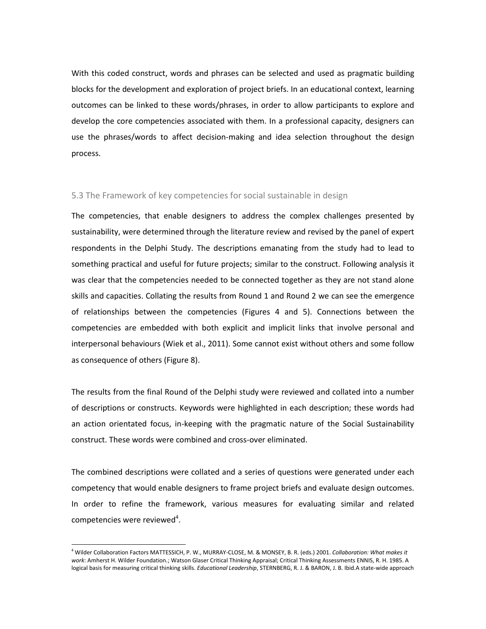With this coded construct, words and phrases can be selected and used as pragmatic building blocks for the development and exploration of project briefs. In an educational context, learning outcomes can be linked to these words/phrases, in order to allow participants to explore and develop the core competencies associated with them. In a professional capacity, designers can use the phrases/words to affect decision-making and idea selection throughout the design process.

#### 5.3 The Framework of key competencies for social sustainable in design

The competencies, that enable designers to address the complex challenges presented by sustainability, were determined through the literature review and revised by the panel of expert respondents in the Delphi Study. The descriptions emanating from the study had to lead to something practical and useful for future projects; similar to the construct. Following analysis it was clear that the competencies needed to be connected together as they are not stand alone skills and capacities. Collating the results from Round 1 and Round 2 we can see the emergence of relationships between the competencies (Figures 4 and 5). Connections between the competencies are embedded with both explicit and implicit links that involve personal and interpersonal behaviours [\(Wiek et al., 2011\)](#page-20-5). Some cannot exist without others and some follow as consequence of others (Figure 8).

The results from the final Round of the Delphi study were reviewed and collated into a number of descriptions or constructs. Keywords were highlighted in each description; these words had an action orientated focus, in-keeping with the pragmatic nature of the Social Sustainability construct. These words were combined and cross-over eliminated.

The combined descriptions were collated and a series of questions were generated under each competency that would enable designers to frame project briefs and evaluate design outcomes. In order to refine the framework, various measures for evaluating similar and related competencies were reviewed<sup>4</sup>.

 $\overline{\phantom{a}}$ 

<sup>4</sup> Wilder Collaboration Factors MATTESSICH, P. W., MURRAY-CLOSE, M. & MONSEY, B. R. (eds.) 2001. *Collaboration: What makes it work*: Amherst H. Wilder Foundation.; Watson Glaser Critical Thinking Appraisal; Critical Thinking Assessments ENNIS, R. H. 1985. A logical basis for measuring critical thinking skills. *Educational Leadership*, STERNBERG, R. J. & BARON, J. B. Ibid.A state-wide approach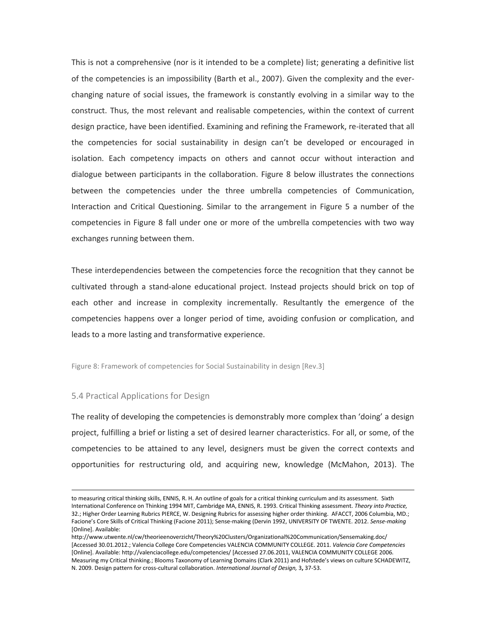This is not a comprehensive (nor is it intended to be a complete) list; generating a definitive list of the competencies is an impossibility [\(Barth et al., 2007\)](#page-18-1). Given the complexity and the everchanging nature of social issues, the framework is constantly evolving in a similar way to the construct. Thus, the most relevant and realisable competencies, within the context of current design practice, have been identified. Examining and refining the Framework, re-iterated that all the competencies for social sustainability in design can't be developed or encouraged in isolation. Each competency impacts on others and cannot occur without interaction and dialogue between participants in the collaboration. [Figure 8](#page-16-0) below illustrates the connections between the competencies under the three umbrella competencies of Communication, Interaction and Critical Questioning. Similar to the arrangement in [Figure 5](#page-11-0) a number of the competencies in Figure 8 fall under one or more of the umbrella competencies with two way exchanges running between them.

These interdependencies between the competencies force the recognition that they cannot be cultivated through a stand-alone educational project. Instead projects should brick on top of each other and increase in complexity incrementally. Resultantly the emergence of the competencies happens over a longer period of time, avoiding confusion or complication, and leads to a more lasting and transformative experience.

<span id="page-16-0"></span>Figure 8: Framework of competencies for Social Sustainability in design [Rev.3]

#### 5.4 Practical Applications for Design

l

The reality of developing the competencies is demonstrably more complex than 'doing' a design project, fulfilling a brief or listing a set of desired learner characteristics. For all, or some, of the competencies to be attained to any level, designers must be given the correct contexts and opportunities for restructuring old, and acquiring new, knowledge [\(McMahon, 2013\)](#page-19-16). The

to measuring critical thinking skills, ENNIS, R. H. An outline of goals for a critical thinking curriculum and its assessment. Sixth International Conference on Thinking 1994 MIT, Cambridge MA, ENNIS, R. 1993. Critical Thinking assessment. *Theory into Practice,* 32.; Higher Order Learning Rubrics PIERCE, W. Designing Rubrics for assessing higher order thinking. AFACCT, 2006 Columbia, MD.; Facione's Core Skills of Critical Thinking (Facione 2011); Sense-making (Dervin 1992, UNIVERSITY OF TWENTE. 2012. *Sense-making*  [Online]. Available:

http://www.utwente.nl/cw/theorieenoverzicht/Theory%20Clusters/Organizational%20Communication/Sensemaking.doc/ [Accessed 30.01.2012.; Valencia College Core Competencies VALENCIA COMMUNITY COLLEGE. 2011. *Valencia Core Competencies*  [Online]. Available: http://valenciacollege.edu/competencies/ [Accessed 27.06.2011, VALENCIA COMMUNITY COLLEGE 2006. Measuring my Critical thinking.; Blooms Taxonomy of Learning Domains (Clark 2011) and Hofstede's views on culture SCHADEWITZ, N. 2009. Design pattern for cross-cultural collaboration. *International Journal of Design,* 3**,** 37-53.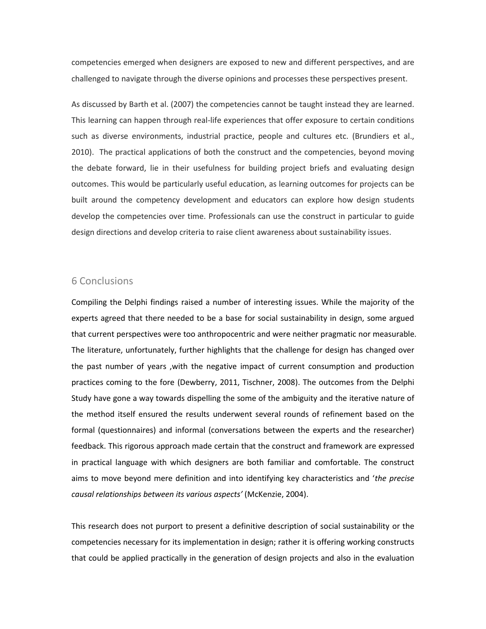competencies emerged when designers are exposed to new and different perspectives, and are challenged to navigate through the diverse opinions and processes these perspectives present.

As discussed by Barth et al. [\(2007\)](#page-18-1) the competencies cannot be taught instead they are learned. This learning can happen through real-life experiences that offer exposure to certain conditions such as diverse environments, industrial practice, people and cultures etc. [\(Brundiers et al.,](#page-18-5)  [2010\)](#page-18-5). The practical applications of both the construct and the competencies, beyond moving the debate forward, lie in their usefulness for building project briefs and evaluating design outcomes. This would be particularly useful education, as learning outcomes for projects can be built around the competency development and educators can explore how design students develop the competencies over time. Professionals can use the construct in particular to guide design directions and develop criteria to raise client awareness about sustainability issues.

# 6 Conclusions

Compiling the Delphi findings raised a number of interesting issues. While the majority of the experts agreed that there needed to be a base for social sustainability in design, some argued that current perspectives were too anthropocentric and were neither pragmatic nor measurable. The literature, unfortunately, further highlights that the challenge for design has changed over the past number of years ,with the negative impact of current consumption and production practices coming to the fore [\(Dewberry, 2011,](#page-19-5) [Tischner, 2008\)](#page-20-10). The outcomes from the Delphi Study have gone a way towards dispelling the some of the ambiguity and the iterative nature of the method itself ensured the results underwent several rounds of refinement based on the formal (questionnaires) and informal (conversations between the experts and the researcher) feedback. This rigorous approach made certain that the construct and framework are expressed in practical language with which designers are both familiar and comfortable. The construct aims to move beyond mere definition and into identifying key characteristics and '*the precise causal relationships between its various aspects'* [\(McKenzie, 2004\)](#page-19-3).

This research does not purport to present a definitive description of social sustainability or the competencies necessary for its implementation in design; rather it is offering working constructs that could be applied practically in the generation of design projects and also in the evaluation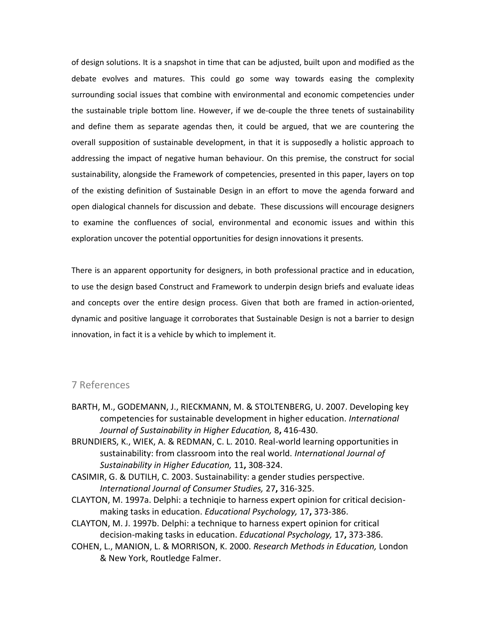of design solutions. It is a snapshot in time that can be adjusted, built upon and modified as the debate evolves and matures. This could go some way towards easing the complexity surrounding social issues that combine with environmental and economic competencies under the sustainable triple bottom line. However, if we de-couple the three tenets of sustainability and define them as separate agendas then, it could be argued, that we are countering the overall supposition of sustainable development, in that it is supposedly a holistic approach to addressing the impact of negative human behaviour. On this premise, the construct for social sustainability, alongside the Framework of competencies, presented in this paper, layers on top of the existing definition of Sustainable Design in an effort to move the agenda forward and open dialogical channels for discussion and debate. These discussions will encourage designers to examine the confluences of social, environmental and economic issues and within this exploration uncover the potential opportunities for design innovations it presents.

There is an apparent opportunity for designers, in both professional practice and in education, to use the design based Construct and Framework to underpin design briefs and evaluate ideas and concepts over the entire design process. Given that both are framed in action-oriented, dynamic and positive language it corroborates that Sustainable Design is not a barrier to design innovation, in fact it is a vehicle by which to implement it.

## 7 References

- <span id="page-18-1"></span>BARTH, M., GODEMANN, J., RIECKMANN, M. & STOLTENBERG, U. 2007. Developing key competencies for sustainable development in higher education. *International Journal of Sustainability in Higher Education,* 8**,** 416-430.
- <span id="page-18-5"></span>BRUNDIERS, K., WIEK, A. & REDMAN, C. L. 2010. Real-world learning opportunities in sustainability: from classroom into the real world. *International Journal of Sustainability in Higher Education,* 11**,** 308-324.
- <span id="page-18-0"></span>CASIMIR, G. & DUTILH, C. 2003. Sustainability: a gender studies perspective. *International Journal of Consumer Studies,* 27**,** 316-325.
- <span id="page-18-2"></span>CLAYTON, M. 1997a. Delphi: a techniqie to harness expert opinion for critical decisionmaking tasks in education. *Educational Psychology,* 17**,** 373-386.
- <span id="page-18-4"></span>CLAYTON, M. J. 1997b. Delphi: a technique to harness expert opinion for critical decision-making tasks in education. *Educational Psychology,* 17**,** 373-386.
- <span id="page-18-3"></span>COHEN, L., MANION, L. & MORRISON, K. 2000. *Research Methods in Education,* London & New York, Routledge Falmer.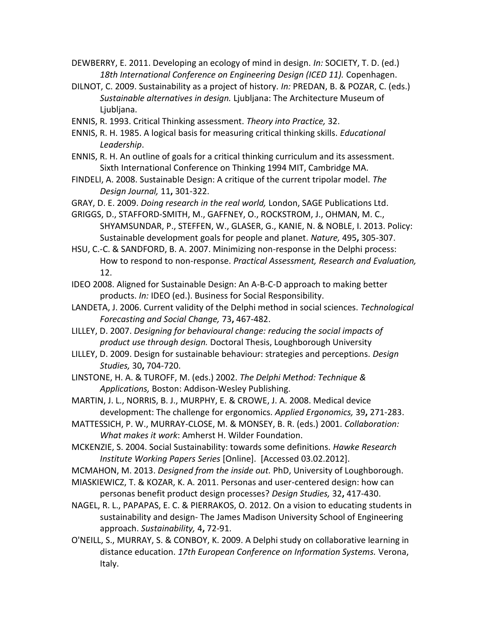<span id="page-19-5"></span>DEWBERRY, E. 2011. Developing an ecology of mind in design. *In:* SOCIETY, T. D. (ed.) *18th International Conference on Engineering Design (ICED 11).* Copenhagen.

- <span id="page-19-8"></span>DILNOT, C. 2009. Sustainability as a project of history. *In:* PREDAN, B. & POZAR, C. (eds.) *Sustainable alternatives in design.* Ljubljana: The Architecture Museum of Ljubljana.
- ENNIS, R. 1993. Critical Thinking assessment. *Theory into Practice,* 32.
- ENNIS, R. H. 1985. A logical basis for measuring critical thinking skills. *Educational Leadership*.
- ENNIS, R. H. An outline of goals for a critical thinking curriculum and its assessment. Sixth International Conference on Thinking 1994 MIT, Cambridge MA.
- <span id="page-19-0"></span>FINDELI, A. 2008. Sustainable Design: A critique of the current tripolar model. *The Design Journal,* 11**,** 301-322.
- <span id="page-19-15"></span>GRAY, D. E. 2009. *Doing research in the real world,* London, SAGE Publications Ltd.
- <span id="page-19-6"></span>GRIGGS, D., STAFFORD-SMITH, M., GAFFNEY, O., ROCKSTROM, J., OHMAN, M. C., SHYAMSUNDAR, P., STEFFEN, W., GLASER, G., KANIE, N. & NOBLE, I. 2013. Policy: Sustainable development goals for people and planet. *Nature,* 495**,** 305-307.
- <span id="page-19-14"></span>HSU, C.-C. & SANDFORD, B. A. 2007. Minimizing non-response in the Delphi process: How to respond to non-response. *Practical Assessment, Research and Evaluation,* 12.
- <span id="page-19-7"></span>IDEO 2008. Aligned for Sustainable Design: An A-B-C-D approach to making better products. *In:* IDEO (ed.). Business for Social Responsibility.
- <span id="page-19-9"></span>LANDETA, J. 2006. Current validity of the Delphi method in social sciences. *Technological Forecasting and Social Change,* 73**,** 467-482.
- <span id="page-19-1"></span>LILLEY, D. 2007. *Designing for behavioural change: reducing the social impacts of product use through design.* Doctoral Thesis, Loughborough University
- <span id="page-19-2"></span>LILLEY, D. 2009. Design for sustainable behaviour: strategies and perceptions. *Design Studies,* 30**,** 704-720.
- <span id="page-19-12"></span>LINSTONE, H. A. & TUROFF, M. (eds.) 2002. *The Delphi Method: Technique & Applications,* Boston: Addison-Wesley Publishing.
- <span id="page-19-10"></span>MARTIN, J. L., NORRIS, B. J., MURPHY, E. & CROWE, J. A. 2008. Medical device development: The challenge for ergonomics. *Applied Ergonomics,* 39**,** 271-283.
- MATTESSICH, P. W., MURRAY-CLOSE, M. & MONSEY, B. R. (eds.) 2001. *Collaboration: What makes it work*: Amherst H. Wilder Foundation.
- <span id="page-19-3"></span>MCKENZIE, S. 2004. Social Sustainability: towards some definitions. *Hawke Research Institute Working Papers Series* [Online]. [Accessed 03.02.2012].
- <span id="page-19-16"></span>MCMAHON, M. 2013. *Designed from the inside out.* PhD, University of Loughborough.
- <span id="page-19-13"></span>MIASKIEWICZ, T. & KOZAR, K. A. 2011. Personas and user-centered design: how can personas benefit product design processes? *Design Studies,* 32**,** 417-430.
- <span id="page-19-4"></span>NAGEL, R. L., PAPAPAS, E. C. & PIERRAKOS, O. 2012. On a vision to educating students in sustainability and design- The James Madison University School of Engineering approach. *Sustainability,* 4**,** 72-91.
- <span id="page-19-11"></span>O'NEILL, S., MURRAY, S. & CONBOY, K. 2009. A Delphi study on collaborative learning in distance education. *17th European Conference on Information Systems.* Verona, Italy.